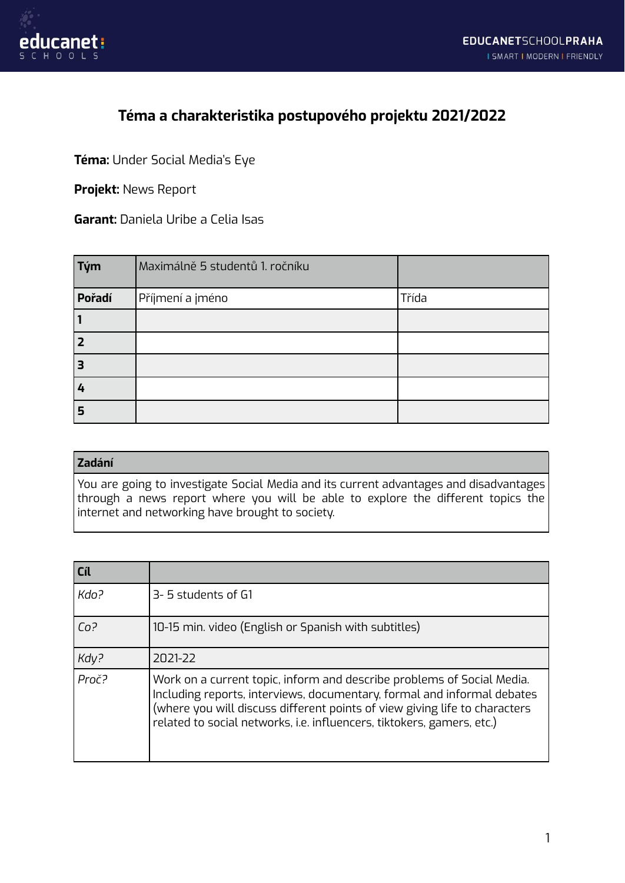

## **Téma a charakteristika postupového projektu 2021/2022**

**Téma:** Under Social Media's Eye

**Projekt:** News Report

**Garant:** Daniela Uribe a Celia Isas

| $\vert$ Tým | Maximálně 5 studentů 1. ročníku |       |
|-------------|---------------------------------|-------|
| Pořadí      | Příjmení a jméno                | Třída |
| 1           |                                 |       |
| 2           |                                 |       |
| з           |                                 |       |
| 4           |                                 |       |
| 5           |                                 |       |

## **Zadání**

You are going to investigate Social Media and its current advantages and disadvantages through a news report where you will be able to explore the different topics the internet and networking have brought to society.

| Cíl             |                                                                                                                                                                                                                                                                                                           |
|-----------------|-----------------------------------------------------------------------------------------------------------------------------------------------------------------------------------------------------------------------------------------------------------------------------------------------------------|
| Kdo?            | 3-5 students of G1                                                                                                                                                                                                                                                                                        |
| Co <sup>2</sup> | 10-15 min. video (English or Spanish with subtitles)                                                                                                                                                                                                                                                      |
| Kdy?            | 2021-22                                                                                                                                                                                                                                                                                                   |
| Proč?           | Work on a current topic, inform and describe problems of Social Media.<br>Including reports, interviews, documentary, formal and informal debates<br>(where you will discuss different points of view giving life to characters<br>related to social networks, i.e. influencers, tiktokers, gamers, etc.) |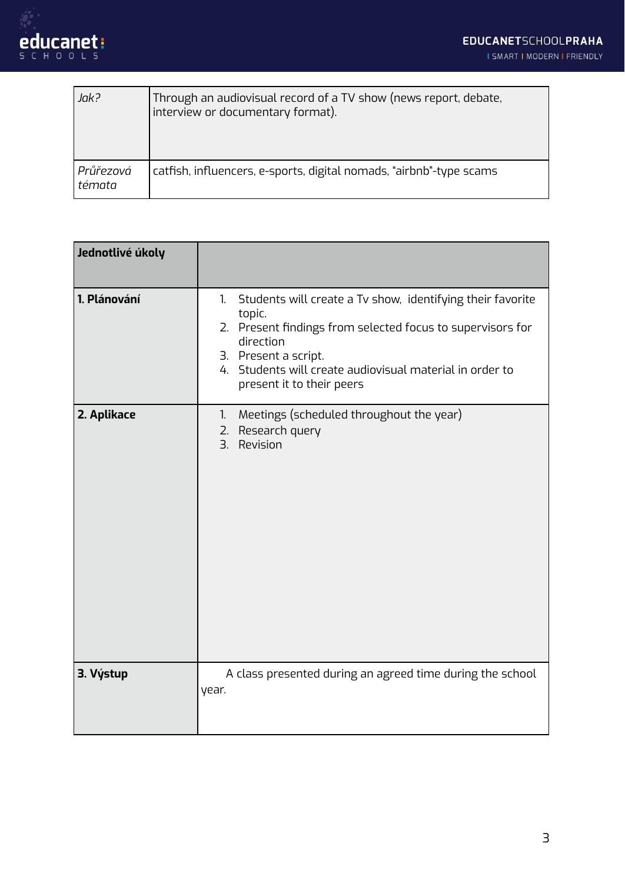

| Jak?                | Through an audiovisual record of a TV show (news report, debate,<br>interview or documentary format). |
|---------------------|-------------------------------------------------------------------------------------------------------|
| Průřezová<br>témata | catfish, influencers, e-sports, digital nomads, "airbnb"-type scams                                   |

| Jednotlivé úkoly |                                                                                                                                                                                                                                                                        |
|------------------|------------------------------------------------------------------------------------------------------------------------------------------------------------------------------------------------------------------------------------------------------------------------|
| 1. Plánování     | Students will create a Tv show, identifying their favorite<br>1.<br>topic.<br>2. Present findings from selected focus to supervisors for<br>direction<br>3. Present a script.<br>4. Students will create audiovisual material in order to<br>present it to their peers |
| 2. Aplikace      | Meetings (scheduled throughout the year)<br>1.<br>2. Research query<br>3.<br>Revision                                                                                                                                                                                  |
| 3. Výstup        | A class presented during an agreed time during the school<br>year.                                                                                                                                                                                                     |